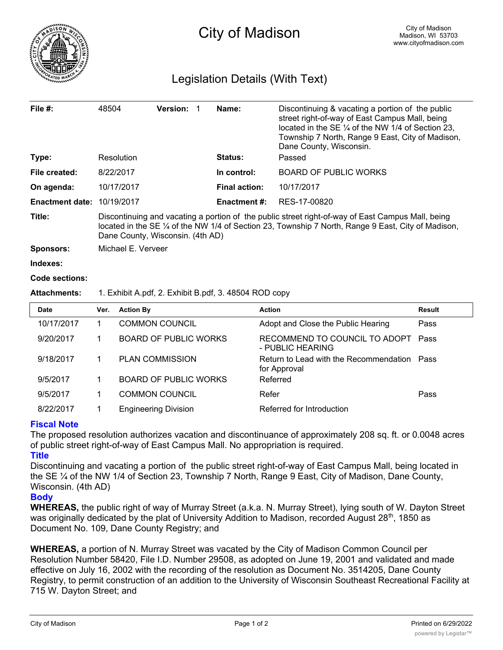

## Legislation Details (With Text)

| File $#$ :             | 48504                                                                                                                                                                                                                                                  | <b>Version:</b> | Name:                | Discontinuing & vacating a portion of the public<br>street right-of-way of East Campus Mall, being<br>located in the SE $\frac{1}{4}$ of the NW 1/4 of Section 23,<br>Township 7 North, Range 9 East, City of Madison,<br>Dane County, Wisconsin. |  |  |  |
|------------------------|--------------------------------------------------------------------------------------------------------------------------------------------------------------------------------------------------------------------------------------------------------|-----------------|----------------------|---------------------------------------------------------------------------------------------------------------------------------------------------------------------------------------------------------------------------------------------------|--|--|--|
| Type:                  | Resolution                                                                                                                                                                                                                                             |                 | <b>Status:</b>       | Passed                                                                                                                                                                                                                                            |  |  |  |
| File created:          | 8/22/2017                                                                                                                                                                                                                                              |                 | In control:          | <b>BOARD OF PUBLIC WORKS</b>                                                                                                                                                                                                                      |  |  |  |
| On agenda:             | 10/17/2017                                                                                                                                                                                                                                             |                 | <b>Final action:</b> | 10/17/2017                                                                                                                                                                                                                                        |  |  |  |
| <b>Enactment date:</b> | 10/19/2017                                                                                                                                                                                                                                             |                 | <b>Enactment #:</b>  | RES-17-00820                                                                                                                                                                                                                                      |  |  |  |
| Title:                 | Discontinuing and vacating a portion of the public street right-of-way of East Campus Mall, being<br>located in the SE $\frac{1}{4}$ of the NW 1/4 of Section 23, Township 7 North, Range 9 East, City of Madison,<br>Dane County, Wisconsin. (4th AD) |                 |                      |                                                                                                                                                                                                                                                   |  |  |  |
| <b>Sponsors:</b>       | Michael E. Verveer                                                                                                                                                                                                                                     |                 |                      |                                                                                                                                                                                                                                                   |  |  |  |
| Indexes:               |                                                                                                                                                                                                                                                        |                 |                      |                                                                                                                                                                                                                                                   |  |  |  |
| Code sections:         |                                                                                                                                                                                                                                                        |                 |                      |                                                                                                                                                                                                                                                   |  |  |  |
| <b>Attachments:</b>    | 1. Exhibit A.pdf, 2. Exhibit B.pdf, 3. 48504 ROD copy                                                                                                                                                                                                  |                 |                      |                                                                                                                                                                                                                                                   |  |  |  |
| <b>Date</b>            | <b>Action By</b><br>Ver.                                                                                                                                                                                                                               |                 |                      | <b>Action</b><br><b>Result</b>                                                                                                                                                                                                                    |  |  |  |

| <b>Date</b> | Ver. | <b>Action By</b>             | <b>Action</b>                                               | <b>Result</b> |
|-------------|------|------------------------------|-------------------------------------------------------------|---------------|
| 10/17/2017  |      | <b>COMMON COUNCIL</b>        | Adopt and Close the Public Hearing                          | Pass          |
| 9/20/2017   |      | <b>BOARD OF PUBLIC WORKS</b> | RECOMMEND TO COUNCIL TO ADOPT<br>- PUBLIC HEARING           | Pass          |
| 9/18/2017   |      | <b>PLAN COMMISSION</b>       | Return to Lead with the Recommendation Pass<br>for Approval |               |
| 9/5/2017    |      | <b>BOARD OF PUBLIC WORKS</b> | Referred                                                    |               |
| 9/5/2017    |      | <b>COMMON COUNCIL</b>        | Refer                                                       | Pass          |
| 8/22/2017   |      | <b>Engineering Division</b>  | Referred for Introduction                                   |               |

## **Fiscal Note**

The proposed resolution authorizes vacation and discontinuance of approximately 208 sq. ft. or 0.0048 acres of public street right-of-way of East Campus Mall. No appropriation is required.

**Title** Discontinuing and vacating a portion of the public street right-of-way of East Campus Mall, being located in the SE ¼ of the NW 1/4 of Section 23, Township 7 North, Range 9 East, City of Madison, Dane County, Wisconsin. (4th AD)

## **Body**

**WHEREAS,** the public right of way of Murray Street (a.k.a. N. Murray Street), lying south of W. Dayton Street was originally dedicated by the plat of University Addition to Madison, recorded August  $28<sup>th</sup>$ , 1850 as Document No. 109, Dane County Registry; and

**WHEREAS,** a portion of N. Murray Street was vacated by the City of Madison Common Council per Resolution Number 58420, File I.D. Number 29508, as adopted on June 19, 2001 and validated and made effective on July 16, 2002 with the recording of the resolution as Document No. 3514205, Dane County Registry, to permit construction of an addition to the University of Wisconsin Southeast Recreational Facility at 715 W. Dayton Street; and